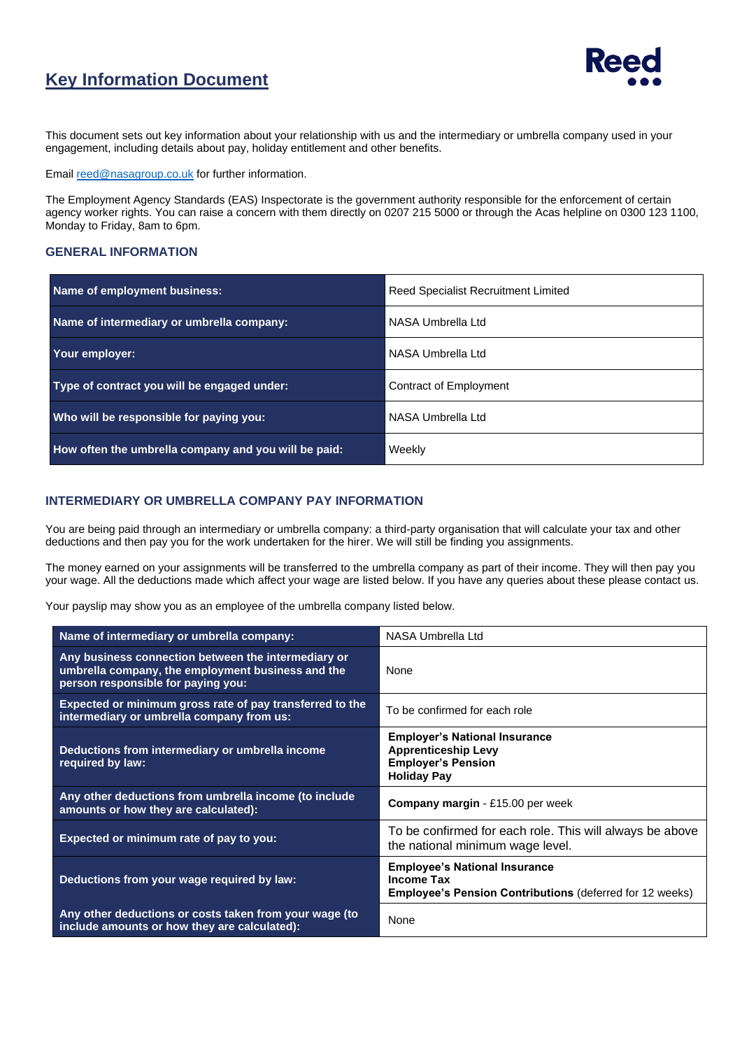## **Key Information Document**



This document sets out key information about your relationship with us and the intermediary or umbrella company used in your engagement, including details about pay, holiday entitlement and other benefits.

Emai[l reed@nasagroup.co.uk](mailto:reed@nasagroup.co.uk) for further information.

The Employment Agency Standards (EAS) Inspectorate is the government authority responsible for the enforcement of certain agency worker rights. You can raise a concern with them directly on 0207 215 5000 or through the Acas helpline on 0300 123 1100, Monday to Friday, 8am to 6pm.

## **GENERAL INFORMATION**

| Name of employment business:                         | Reed Specialist Recruitment Limited |  |
|------------------------------------------------------|-------------------------------------|--|
| Name of intermediary or umbrella company:            | NASA Umbrella Ltd                   |  |
| Your employer:                                       | NASA Umbrella Ltd                   |  |
| Type of contract you will be engaged under:          | Contract of Employment              |  |
| Who will be responsible for paying you:              | NASA Umbrella Ltd                   |  |
| How often the umbrella company and you will be paid: | Weekly                              |  |

## **INTERMEDIARY OR UMBRELLA COMPANY PAY INFORMATION**

You are being paid through an intermediary or umbrella company: a third-party organisation that will calculate your tax and other deductions and then pay you for the work undertaken for the hirer. We will still be finding you assignments.

The money earned on your assignments will be transferred to the umbrella company as part of their income. They will then pay you your wage. All the deductions made which affect your wage are listed below. If you have any queries about these please contact us.

Your payslip may show you as an employee of the umbrella company listed below.

| Name of intermediary or umbrella company:                                                                                                      | NASA Umbrella Ltd                                                                                                            |  |
|------------------------------------------------------------------------------------------------------------------------------------------------|------------------------------------------------------------------------------------------------------------------------------|--|
| Any business connection between the intermediary or<br>umbrella company, the employment business and the<br>person responsible for paying you: | <b>None</b>                                                                                                                  |  |
| Expected or minimum gross rate of pay transferred to the<br>intermediary or umbrella company from us:                                          | To be confirmed for each role                                                                                                |  |
| Deductions from intermediary or umbrella income<br>required by law:                                                                            | <b>Employer's National Insurance</b><br><b>Apprenticeship Levy</b><br><b>Employer's Pension</b><br><b>Holiday Pay</b>        |  |
| Any other deductions from umbrella income (to include<br>amounts or how they are calculated):                                                  | <b>Company margin - £15.00 per week</b>                                                                                      |  |
| Expected or minimum rate of pay to you:                                                                                                        | To be confirmed for each role. This will always be above<br>the national minimum wage level.                                 |  |
| Deductions from your wage required by law:                                                                                                     | <b>Employee's National Insurance</b><br><b>Income Tax</b><br><b>Employee's Pension Contributions (deferred for 12 weeks)</b> |  |
| Any other deductions or costs taken from your wage (to<br>include amounts or how they are calculated):                                         | None                                                                                                                         |  |